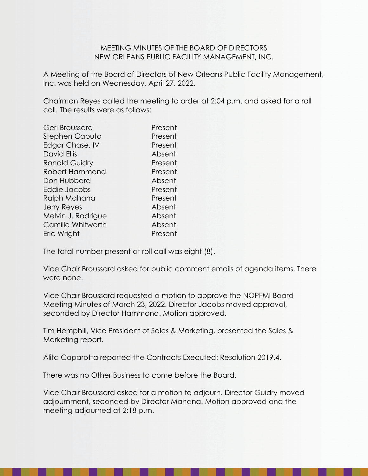## MEETING MINUTES OF THE BOARD OF DIRECTORS NEW ORLEANS PUBLIC FACILITY MANAGEMENT, INC.

A Meeting of the Board of Directors of New Orleans Public Facility Management, Inc. was held on Wednesday, April 27, 2022.

Chairman Reyes called the meeting to order at 2:04 p.m. and asked for a roll call. The results were as follows:

| Geri Broussard       | Present |
|----------------------|---------|
| Stephen Caputo       | Present |
| Edgar Chase, IV      | Present |
| <b>David Ellis</b>   | Absent  |
| <b>Ronald Guidry</b> | Present |
| Robert Hammond       | Present |
| Don Hubbard          | Absent  |
| Eddie Jacobs         | Present |
| Ralph Mahana         | Present |
| <b>Jerry Reyes</b>   | Absent  |
| Melvin J. Rodrigue   | Absent  |
| Camille Whitworth    | Absent  |
| Eric Wright          | Present |
|                      |         |

The total number present at roll call was eight (8).

Vice Chair Broussard asked for public comment emails of agenda items. There were none.

Vice Chair Broussard requested a motion to approve the NOPFMI Board Meeting Minutes of March 23, 2022. Director Jacobs moved approval, seconded by Director Hammond. Motion approved.

Tim Hemphill, Vice President of Sales & Marketing, presented the Sales & Marketing report.

Alita Caparotta reported the Contracts Executed: Resolution 2019.4.

There was no Other Business to come before the Board.

Vice Chair Broussard asked for a motion to adjourn. Director Guidry moved adjournment, seconded by Director Mahana. Motion approved and the meeting adjourned at 2:18 p.m.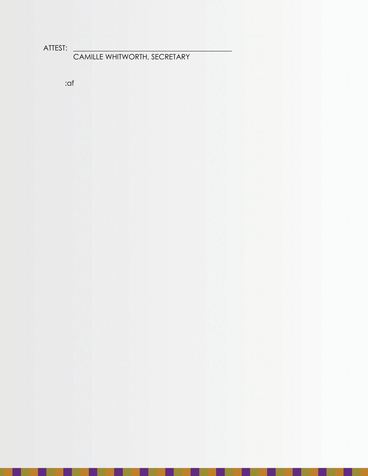ATTEST: \_\_\_\_\_\_\_\_\_\_\_\_\_\_\_\_\_\_\_\_\_\_\_\_\_\_\_\_\_\_\_\_\_\_\_\_\_\_\_\_\_\_\_\_

CAMILLE WHITWORTH, SECRETARY

------------

:af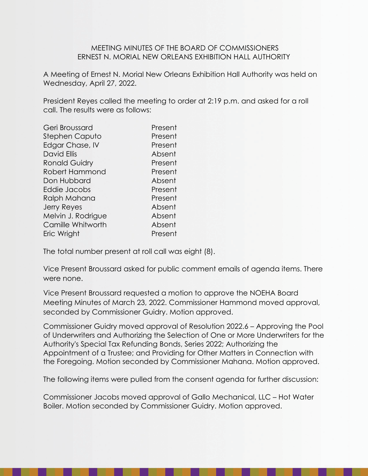## MEETING MINUTES OF THE BOARD OF COMMISSIONERS ERNEST N. MORIAL NEW ORLEANS EXHIBITION HALL AUTHORITY

A Meeting of Ernest N. Morial New Orleans Exhibition Hall Authority was held on Wednesday, April 27, 2022.

President Reyes called the meeting to order at 2:19 p.m. and asked for a roll call. The results were as follows:

| Geri Broussard       | Present |
|----------------------|---------|
| Stephen Caputo       | Present |
| Edgar Chase, IV      | Present |
| <b>David Ellis</b>   | Absent  |
| <b>Ronald Guidry</b> | Present |
| Robert Hammond       | Present |
| Don Hubbard          | Absent  |
| Eddie Jacobs         | Present |
| Ralph Mahana         | Present |
| <b>Jerry Reyes</b>   | Absent  |
| Melvin J. Rodrigue   | Absent  |
| Camille Whitworth    | Absent  |
| Eric Wright          | Present |
|                      |         |

The total number present at roll call was eight (8).

Vice Present Broussard asked for public comment emails of agenda items. There were none.

Vice Present Broussard requested a motion to approve the NOEHA Board Meeting Minutes of March 23, 2022. Commissioner Hammond moved approval, seconded by Commissioner Guidry. Motion approved.

Commissioner Guidry moved approval of Resolution 2022.6 – Approving the Pool of Underwriters and Authorizing the Selection of One or More Underwriters for the Authority's Special Tax Refunding Bonds, Series 2022; Authorizing the Appointment of a Trustee; and Providing for Other Matters in Connection with the Foregoing. Motion seconded by Commissioner Mahana. Motion approved.

The following items were pulled from the consent agenda for further discussion:

Commissioner Jacobs moved approval of Gallo Mechanical, LLC – Hot Water Boiler. Motion seconded by Commissioner Guidry. Motion approved.